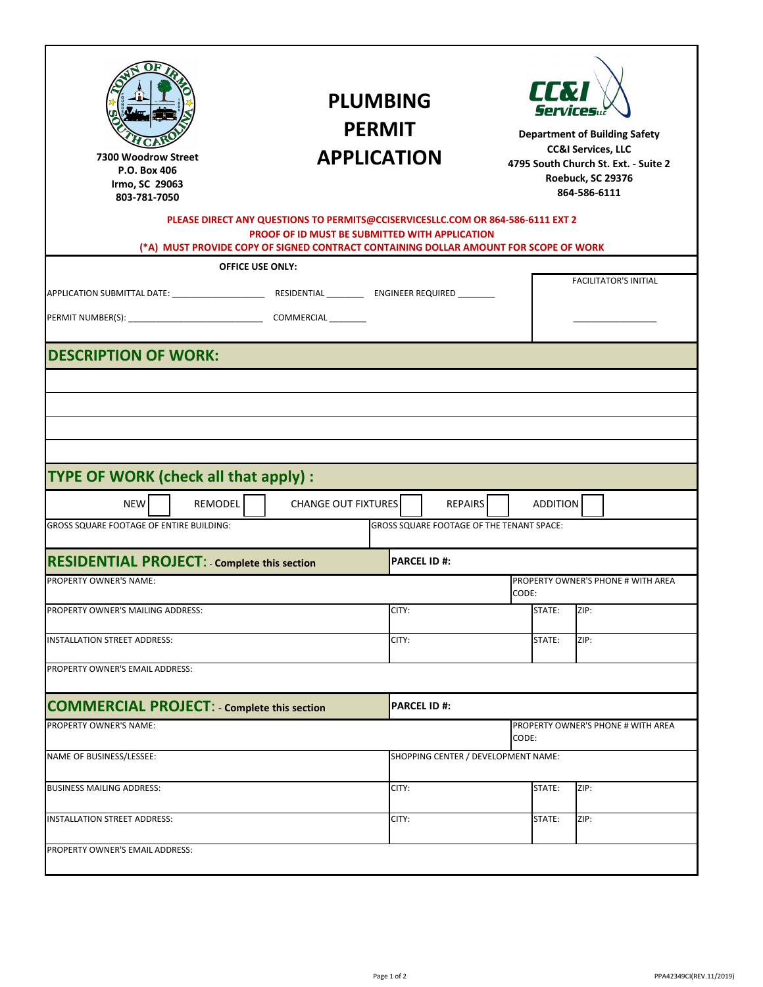| tovse<br>toou¥∪õ<br>ðð                                                                                       |                         | <b>PLUMBING</b><br><b>PERMIT</b><br><b>APPLICATION</b>                                                                                                                                                                    |                    |                                                                    | LLW<br><b>Services</b><br><b>Department of Building Safety</b><br><b>CC&amp;I Services, LLC</b><br>4795 South Church St. Ext. - Suite 2<br>Roebuck, SC 29376<br>864-586-6111 |                                    |  |  |
|--------------------------------------------------------------------------------------------------------------|-------------------------|---------------------------------------------------------------------------------------------------------------------------------------------------------------------------------------------------------------------------|--------------------|--------------------------------------------------------------------|------------------------------------------------------------------------------------------------------------------------------------------------------------------------------|------------------------------------|--|--|
|                                                                                                              |                         | PLEASE DIRECT ANY QUESTIONS TO PERMITS@CCISERVICESLLC.COM OR 864-586-6111 EXT 2<br>PROOF OF ID MUST BE SUBMITTED WITH APPLICATION<br>(*A) MUST PROVIDE COPY OF SIGNED CONTRACT CONTAINING DOLLAR AMOUNT FOR SCOPE OF WORK |                    |                                                                    |                                                                                                                                                                              |                                    |  |  |
|                                                                                                              | <b>OFFICE USE ONLY:</b> |                                                                                                                                                                                                                           |                    |                                                                    |                                                                                                                                                                              |                                    |  |  |
|                                                                                                              |                         |                                                                                                                                                                                                                           |                    |                                                                    |                                                                                                                                                                              | <b>FACILITATOR'S INITIAL</b>       |  |  |
| <b>DESCRIPTION OF WORK:</b>                                                                                  |                         |                                                                                                                                                                                                                           |                    |                                                                    |                                                                                                                                                                              |                                    |  |  |
| <b>TYPE OF WORK (check all that apply):</b><br><b>NEW</b><br><b>GROSS SQUARE FOOTAGE OF ENTIRE BUILDING:</b> | <b>REMODEL</b>          | <b>CHANGE OUT FIXTURES</b>                                                                                                                                                                                                |                    | <b>REPAIRS</b><br><b>GROSS SQUARE FOOTAGE OF THE TENANT SPACE:</b> | <b>ADDITION</b>                                                                                                                                                              |                                    |  |  |
| <b>RESIDENTIAL PROJECT: - Complete this section</b>                                                          |                         |                                                                                                                                                                                                                           | <b>PARCEL ID#:</b> |                                                                    |                                                                                                                                                                              |                                    |  |  |
| PROPERTY OWNER'S NAME:                                                                                       |                         |                                                                                                                                                                                                                           |                    |                                                                    | PROPERTY OWNER'S PHONE # WITH AREA<br>CODE:                                                                                                                                  |                                    |  |  |
| PROPERTY OWNER'S MAILING ADDRESS:                                                                            |                         |                                                                                                                                                                                                                           | CITY:              |                                                                    | STATE:                                                                                                                                                                       | ZIP:                               |  |  |
|                                                                                                              |                         |                                                                                                                                                                                                                           |                    |                                                                    |                                                                                                                                                                              |                                    |  |  |
| <b>INSTALLATION STREET ADDRESS:</b><br>PROPERTY OWNER'S EMAIL ADDRESS:                                       |                         |                                                                                                                                                                                                                           | CITY:              |                                                                    | STATE:                                                                                                                                                                       | ZIP:                               |  |  |
|                                                                                                              |                         |                                                                                                                                                                                                                           | <b>PARCEL ID#:</b> |                                                                    |                                                                                                                                                                              |                                    |  |  |
| <b>COMMERCIAL PROJECT: - Complete this section</b><br>PROPERTY OWNER'S NAME:                                 |                         |                                                                                                                                                                                                                           |                    |                                                                    |                                                                                                                                                                              | PROPERTY OWNER'S PHONE # WITH AREA |  |  |
|                                                                                                              |                         |                                                                                                                                                                                                                           |                    | SHOPPING CENTER / DEVELOPMENT NAME:                                | CODE:                                                                                                                                                                        |                                    |  |  |
|                                                                                                              |                         |                                                                                                                                                                                                                           | CITY:              |                                                                    | STATE:                                                                                                                                                                       | ZIP:                               |  |  |
| NAME OF BUSINESS/LESSEE:<br><b>BUSINESS MAILING ADDRESS:</b><br>INSTALLATION STREET ADDRESS:                 |                         |                                                                                                                                                                                                                           | CITY:              |                                                                    | STATE:                                                                                                                                                                       | ZIP:                               |  |  |